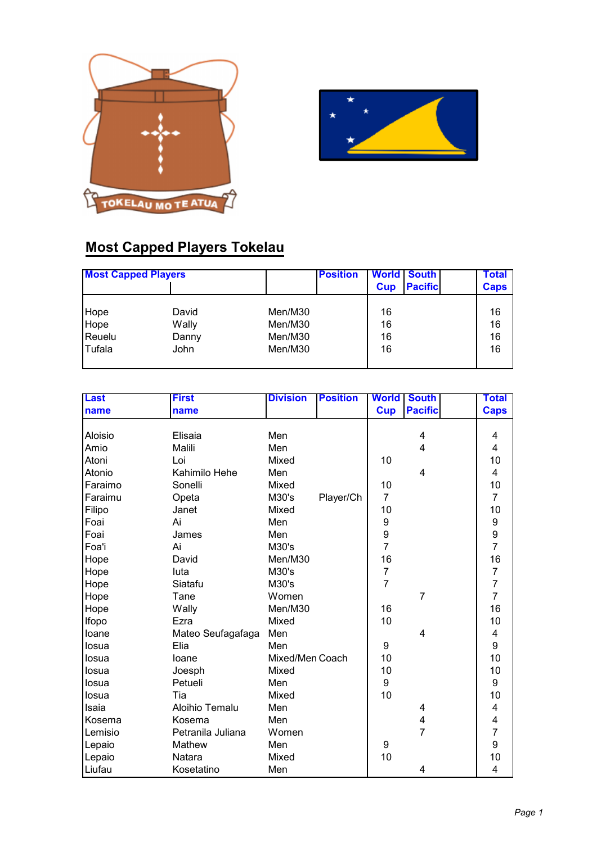



## **Most Capped Players Tokelau**

| <b>Most Capped Players</b> |       |         | <b>Position</b> | Cup | <b>World South</b><br><b>Pacific</b> | <b>Total</b><br><b>Caps</b> |
|----------------------------|-------|---------|-----------------|-----|--------------------------------------|-----------------------------|
| Hope                       | David | Men/M30 |                 | 16  |                                      | 16                          |
| Hope                       | Wally | Men/M30 |                 | 16  |                                      | 16                          |
| Reuelu                     | Danny | Men/M30 |                 | 16  |                                      | 16                          |
| Tufala                     | John  | Men/M30 |                 | 16  |                                      | 16                          |

| <b>Last</b> | <b>First</b>      | <b>Division</b> | <b>Position</b> | <b>World</b>     | <b>South</b>   | Total                   |
|-------------|-------------------|-----------------|-----------------|------------------|----------------|-------------------------|
| name        | name              |                 |                 | <b>Cup</b>       | <b>Pacific</b> | <b>Caps</b>             |
|             |                   |                 |                 |                  |                |                         |
| Aloisio     | Elisaia           | Men             |                 |                  | 4              | 4                       |
| Amio        | Malili            | Men             |                 |                  | 4              | 4                       |
| Atoni       | Loi               | Mixed           |                 | 10               |                | 10                      |
| Atonio      | Kahimilo Hehe     | Men             |                 |                  | 4              | $\overline{4}$          |
| Faraimo     | Sonelli           | Mixed           |                 | 10               |                | 10                      |
| Faraimu     | Opeta             | M30's           | Player/Ch       | $\overline{7}$   |                | $\overline{7}$          |
| Filipo      | Janet             | Mixed           |                 | 10               |                | 10                      |
| Foai        | Ai                | Men             |                 | $\boldsymbol{9}$ |                | 9                       |
| Foai        | James             | Men             |                 | 9                |                | $\overline{9}$          |
| Foa'i       | Ai                | M30's           |                 | $\overline{7}$   |                | $\overline{7}$          |
| Hope        | David             | Men/M30         |                 | 16               |                | 16                      |
| Hope        | luta              | M30's           |                 | $\overline{7}$   |                | $\overline{7}$          |
| Hope        | Siatafu           | M30's           |                 | $\overline{7}$   |                | $\overline{7}$          |
| Hope        | Tane              | Women           |                 |                  | $\overline{7}$ | $\overline{7}$          |
| Hope        | Wally             | Men/M30         |                 | 16               |                | 16                      |
| Ifopo       | Ezra              | Mixed           |                 | 10               |                | 10                      |
| loane       | Mateo Seufagafaga | Men             |                 |                  | 4              | $\overline{\mathbf{4}}$ |
| losua       | Elia              | Men             |                 | 9                |                | 9                       |
| losua       | loane             | Mixed/Men Coach |                 | 10               |                | 10                      |
| losua       | Joesph            | Mixed           |                 | 10               |                | 10                      |
| losua       | Petueli           | Men             |                 | $\boldsymbol{9}$ |                | 9                       |
| losua       | Tia               | Mixed           |                 | 10               |                | 10                      |
| Isaia       | Aloihio Temalu    | Men             |                 |                  | 4              | 4                       |
| Kosema      | Kosema            | Men             |                 |                  | 4              | 4                       |
| Lemisio     | Petranila Juliana | Women           |                 |                  | $\overline{7}$ | $\overline{7}$          |
| Lepaio      | Mathew            | Men             |                 | $\boldsymbol{9}$ |                | 9                       |
| Lepaio      | Natara            | Mixed           |                 | 10               |                | 10                      |
| Liufau      | Kosetatino        | Men             |                 |                  | 4              | $\overline{4}$          |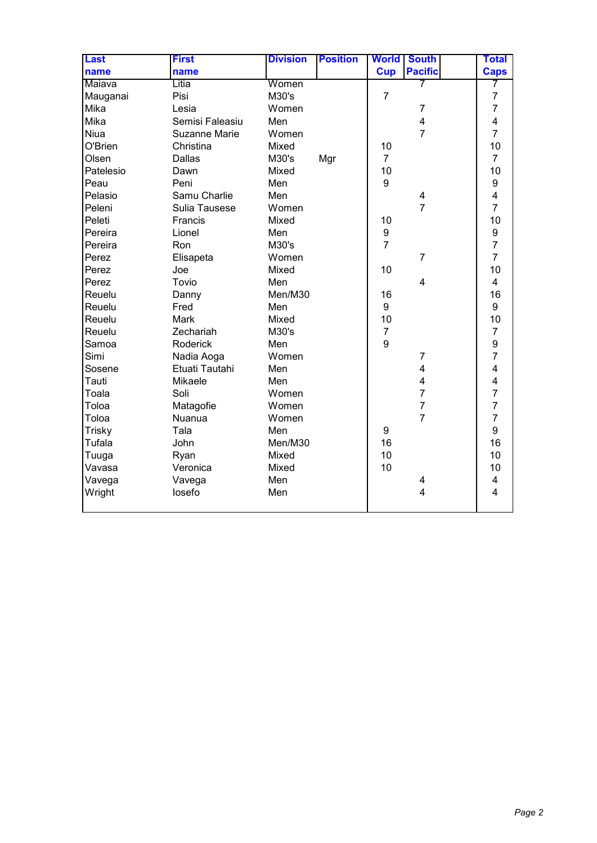| <b>Last</b>   | <b>First</b>    | <b>Division</b> | <b>Position</b> | <b>World</b>   | <b>South</b>            | <b>Total</b>            |
|---------------|-----------------|-----------------|-----------------|----------------|-------------------------|-------------------------|
| name          | name            |                 |                 | <b>Cup</b>     | <b>Pacific</b>          | <b>Caps</b>             |
| Maiava        | Litia           | Women           |                 |                | 7                       | 7                       |
| Mauganai      | Pisi            | M30's           |                 | $\overline{7}$ |                         | $\overline{7}$          |
| Mika          | Lesia           | Women           |                 |                | $\overline{7}$          | $\overline{7}$          |
| Mika          | Semisi Faleasiu | Men             |                 |                | 4                       | 4                       |
| Niua          | Suzanne Marie   | Women           |                 |                | $\overline{7}$          | $\overline{7}$          |
| O'Brien       | Christina       | Mixed           |                 | 10             |                         | 10                      |
| Olsen         | Dallas          | M30's           | Mgr             | $\overline{7}$ |                         | $\overline{7}$          |
| Patelesio     | Dawn            | Mixed           |                 | 10             |                         | 10                      |
| Peau          | Peni            | Men             |                 | 9              |                         | $\boldsymbol{9}$        |
| Pelasio       | Samu Charlie    | Men             |                 |                | 4                       | $\overline{\mathbf{4}}$ |
| Peleni        | Sulia Tausese   | Women           |                 |                | $\overline{7}$          | $\overline{7}$          |
| Peleti        | Francis         | Mixed           |                 | 10             |                         | 10                      |
| Pereira       | Lionel          | Men             |                 | 9              |                         | 9                       |
| Pereira       | Ron             | M30's           |                 | $\overline{7}$ |                         | $\overline{7}$          |
| Perez         | Elisapeta       | Women           |                 |                | $\overline{7}$          | $\overline{7}$          |
| Perez         | Joe             | Mixed           |                 | 10             |                         | 10                      |
| Perez         | Tovio           | Men             |                 |                | 4                       | $\overline{4}$          |
| Reuelu        | Danny           | Men/M30         |                 | 16             |                         | 16                      |
| Reuelu        | Fred            | Men             |                 | 9              |                         | 9                       |
| Reuelu        | <b>Mark</b>     | Mixed           |                 | 10             |                         | 10                      |
| Reuelu        | Zechariah       | M30's           |                 | $\overline{7}$ |                         | $\overline{7}$          |
| Samoa         | Roderick        | Men             |                 | 9              |                         | 9                       |
| Simi          | Nadia Aoga      | Women           |                 |                | $\overline{7}$          | $\overline{7}$          |
| Sosene        | Etuati Tautahi  | Men             |                 |                | $\overline{\mathbf{4}}$ | 4                       |
| Tauti         | Mikaele         | Men             |                 |                | 4                       | 4                       |
| Toala         | Soli            | Women           |                 |                | $\overline{7}$          | $\overline{7}$          |
| Toloa         | Matagofie       | Women           |                 |                | $\overline{7}$          | $\overline{7}$          |
| Toloa         | Nuanua          | Women           |                 |                | $\overline{7}$          | $\overline{7}$          |
| <b>Trisky</b> | Tala            | Men             |                 | 9              |                         | 9                       |
| Tufala        | John            | Men/M30         |                 | 16             |                         | 16                      |
| Tuuga         | Ryan            | Mixed           |                 | 10             |                         | 10                      |
| Vavasa        | Veronica        | Mixed           |                 | 10             |                         | 10                      |
| Vavega        | Vavega          | Men             |                 |                | 4                       | $\overline{\mathbf{4}}$ |
| Wright        | losefo          | Men             |                 |                | $\overline{\mathbf{4}}$ | $\overline{4}$          |
|               |                 |                 |                 |                |                         |                         |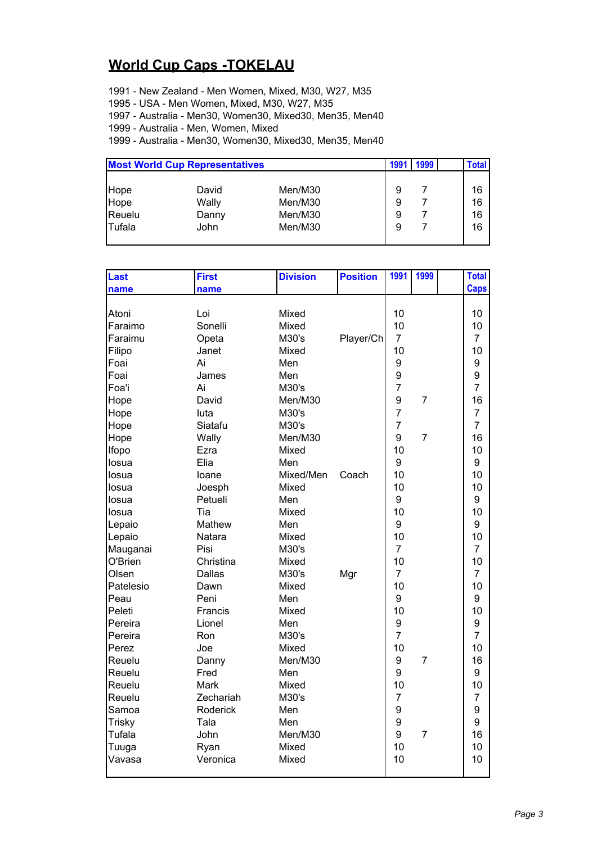## **World Cup Caps -TOKELAU**

1991 - New Zealand - Men Women, Mixed, M30, W27, M35

1995 - USA - Men Women, Mixed, M30, W27, M35

1997 - Australia - Men30, Women30, Mixed30, Men35, Men40

1999 - Australia - Men, Women, Mixed

1999 - Australia - Men30, Women30, Mixed30, Men35, Men40

| <b>Most World Cup Representatives</b> |         |   |      |      |
|---------------------------------------|---------|---|------|------|
|                                       |         |   |      |      |
| David                                 | Men/M30 | 9 |      | 16   |
| Wally                                 | Men/M30 | 9 |      | 16   |
| Danny                                 | Men/M30 | 9 |      | 16   |
| John                                  | Men/M30 | 9 |      | 16   |
|                                       |         |   | 1991 | 1999 |

| Last          | First     | <b>Division</b> | <b>Position</b> | 1991           | 1999           | <b>Total</b>   |
|---------------|-----------|-----------------|-----------------|----------------|----------------|----------------|
| name          | name      |                 |                 |                |                | <b>Caps</b>    |
|               |           |                 |                 |                |                |                |
| Atoni         | Loi       | Mixed           |                 | 10             |                | 10             |
| Faraimo       | Sonelli   | Mixed           |                 | 10             |                | 10             |
| Faraimu       | Opeta     | M30's           | Player/Ch       | $\overline{7}$ |                | $\overline{7}$ |
| Filipo        | Janet     | Mixed           |                 | 10             |                | 10             |
| Foai          | Ai        | Men             |                 | 9              |                | 9              |
| Foai          | James     | Men             |                 | 9              |                | 9              |
| Foa'i         | Ai        | M30's           |                 | $\overline{7}$ |                | $\overline{7}$ |
| Hope          | David     | Men/M30         |                 | 9              | $\overline{7}$ | 16             |
| Hope          | luta      | M30's           |                 | $\overline{7}$ |                | $\overline{7}$ |
| Hope          | Siatafu   | M30's           |                 | $\overline{7}$ |                | $\overline{7}$ |
| Hope          | Wally     | Men/M30         |                 | 9              | 7              | 16             |
| Ifopo         | Ezra      | Mixed           |                 | 10             |                | 10             |
| losua         | Elia      | Men             |                 | 9              |                | 9              |
| losua         | loane     | Mixed/Men       | Coach           | 10             |                | 10             |
| losua         | Joesph    | Mixed           |                 | 10             |                | 10             |
| losua         | Petueli   | Men             |                 | 9              |                | 9              |
| losua         | Tia       | Mixed           |                 | 10             |                | 10             |
| Lepaio        | Mathew    | Men             |                 | 9              |                | 9              |
| Lepaio        | Natara    | Mixed           |                 | 10             |                | 10             |
| Mauganai      | Pisi      | M30's           |                 | $\overline{7}$ |                | $\overline{7}$ |
| O'Brien       | Christina | Mixed           |                 | 10             |                | 10             |
| Olsen         | Dallas    | M30's           | Mgr             | $\overline{7}$ |                | 7              |
| Patelesio     | Dawn      | Mixed           |                 | 10             |                | 10             |
| Peau          | Peni      | Men             |                 | 9              |                | 9              |
| Peleti        | Francis   | Mixed           |                 | 10             |                | 10             |
| Pereira       | Lionel    | Men             |                 | 9              |                | 9              |
| Pereira       | Ron       | M30's           |                 | $\overline{7}$ |                | $\overline{7}$ |
| Perez         | Joe       | Mixed           |                 | 10             |                | 10             |
| Reuelu        | Danny     | Men/M30         |                 | 9              | 7              | 16             |
| Reuelu        | Fred      | Men             |                 | 9              |                | 9              |
| Reuelu        | Mark      | Mixed           |                 | 10             |                | 10             |
| Reuelu        | Zechariah | M30's           |                 | $\overline{7}$ |                | $\overline{7}$ |
| Samoa         | Roderick  | Men             |                 | 9              |                | 9              |
| <b>Trisky</b> | Tala      | Men             |                 | 9              |                | 9              |
| Tufala        | John      | Men/M30         |                 | 9              | $\overline{7}$ | 16             |
| Tuuga         | Ryan      | Mixed           |                 | 10             |                | 10             |
| Vavasa        | Veronica  | Mixed           |                 | 10             |                | 10             |
|               |           |                 |                 |                |                |                |